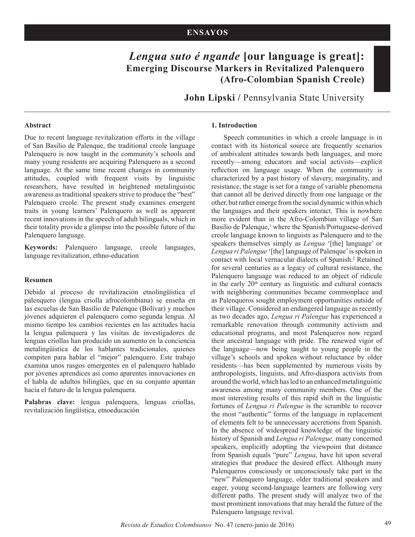# *Lengua suto é ngande* **[our language is great]: Emerging Discourse Markers in Revitalized Palenquero (Afro-Colombian Spanish Creole)**

**John Lipski /** Pennsylvania State University

#### **Abstract**

Due to recent language revitalization efforts in the village of San Basilio de Palenque, the traditional creole language Palenquero is now taught in the community's schools and many young residents are acquiring Palenquero as a second language. At the same time recent changes in community attitudes, coupled with frequent visits by linguistic researchers, have resulted in heightened metalinguistic awareness as traditional speakers strive to produce the "best" Palenquero creole. The present study examines emergent traits in young learners' Palenquero as well as apparent recent innovations in the speech of adult bilinguals, which in their totality provide a glimpse into the possible future of the Palenquero language.

**Keywords:** Palenquero language, creole languages, language revitalization, ethno-education

## **Resumen**

Debido al proceso de revitalización etnolingüística el palenquero (lengua criolla afrocolombiana) se enseña en las escuelas de San Basilio de Palenque (Bolívar) y muchos jóvenes adquieren el palenquero como segunda lengua. Al mismo tiempo los cambios recientes en las actitudes hacia la lengua palenquera y las visitas de investigadores de lenguas criollas han producido un aumento en la conciencia metalingüística de los hablantes tradicionales, quienes compiten para hablar el "mejor" palenquero. Este trabajo examina unos rasgos emergentes en el palenquero hablado por jóvenes aprendices así como aparentes innovaciones en el habla de adultos bilingües, que en su conjunto apuntan hacia el futuro de la lengua palenquera.

**Palabras clave:** lengua palenquera, lenguas criollas, revitalización lingüística, etnoeducación

## **1. Introduction**

Speech communities in which a creole language is in contact with its historical source are frequently scenarios of ambivalent attitudes towards both languages, and more recently—among educators and social activists—explicit reflection on language usage. When the community is characterized by a past history of slavery, marginality, and resistance, the stage is set for a range of variable phenomena that cannot all be derived directly from one language or the other, but rather emerge from the social dynamic within which the languages and their speakers interact. This is nowhere more evident than in the Afro-Colombian village of San Basilio de Palenque,<sup>1</sup> where the Spanish/Portuguese-derived creole language known to linguists as Palenquero and to the speakers themselves simply as *Lengua* '[the] language' or *Lengua ri Palengue* '[the] language of Palenque' is spoken in contact with local vernacular dialects of Spanish.<sup>2</sup> Retained for several centuries as a legacy of cultural resistance, the Palenquero language was reduced to an object of ridicule in the early  $20<sup>th</sup>$  century as linguistic and cultural contacts with neighboring communities became commonplace and as Palenqueros sought employment opportunities outside of their village. Considered an endangered language as recently as two decades ago, *Lengua ri Palengue* has experienced a remarkable renovation through community activism and educational programs, and most Palenqueros now regard their ancestral language with pride. The renewed vigor of the language—now being taught to young people in the village's schools and spoken without reluctance by older residents—has been supplemented by numerous visits by anthropologists, linguists, and Afro-diaspora activists from around the world, which has led to an enhanced metalinguistic awareness among many community members. One of the most interesting results of this rapid shift in the linguistic fortunes of *Lengua ri Palengue* is the scramble to recover the most "authentic" forms of the language in replacement of elements felt to be unnecessary accretions from Spanish. In the absence of widespread knowledge of the linguistic history of Spanish and *Lengua ri Palengue,* many concerned speakers, implicitly adopting the viewpoint that distance from Spanish equals "pure" *Lengua*, have hit upon several strategies that produce the desired effect. Although many Palenqueros consciously or unconsciously take part in the "new" Palenquero language, older traditional speakers and eager, young second-language learners are following very different paths. The present study will analyze two of the most prominent innovations that may herald the future of the Palenquero language revival.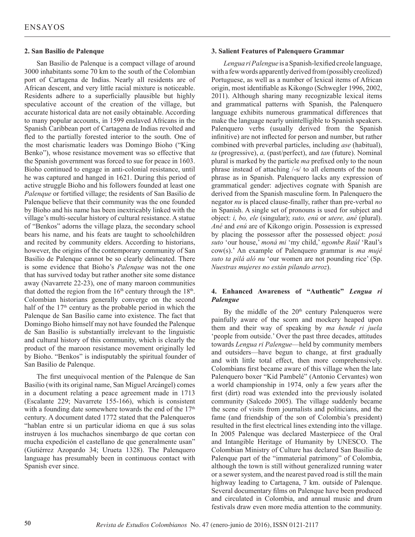## **2. San Basilio de Palenque**

San Basilio de Palenque is a compact village of around 3000 inhabitants some 70 km to the south of the Colombian port of Cartagena de Indias. Nearly all residents are of African descent, and very little racial mixture is noticeable. Residents adhere to a superficially plausible but highly speculative account of the creation of the village, but accurate historical data are not easily obtainable. According to many popular accounts, in 1599 enslaved Africans in the Spanish Caribbean port of Cartagena de Indias revolted and fled to the partially forested interior to the south. One of the most charismatic leaders was Domingo Bioho ("King Benko"), whose resistance movement was so effective that the Spanish government was forced to sue for peace in 1603. Bioho continued to engage in anti-colonial resistance, until he was captured and hanged in 1621. During this period of active struggle Bioho and his followers founded at least one *Palenque* or fortified village; the residents of San Basilio de Palenque believe that their community was the one founded by Bioho and his name has been inextricably linked with the village's multi-secular history of cultural resistance. A statue of "Benkos" adorns the village plaza, the secondary school bears his name, and his feats are taught to schoolchildren and recited by community elders. According to historians, however, the origins of the contemporary community of San Basilio de Palenque cannot be so clearly delineated. There is some evidence that Bioho's *Palenque* was not the one that has survived today but rather another site some distance away (Navarrete 22-23), one of many maroon communities that dotted the region from the  $16<sup>th</sup>$  century through the  $18<sup>th</sup>$ . Colombian historians generally converge on the second half of the 17<sup>th</sup> century as the probable period in which the Palenque de San Basilio came into existence. The fact that Domingo Bioho himself may not have founded the Palenque de San Basilio is substantially irrelevant to the linguistic and cultural history of this community, which is clearly the product of the maroon resistance movement originally led by Bioho. "Benkos" is indisputably the spiritual founder of San Basilio de Palenque.

The first unequivocal mention of the Palenque de San Basilio (with its original name, San Miguel Arcángel) comes in a document relating a peace agreement made in 1713 (Escalante 229; Navarrete 155-166), which is consistent with a founding date somewhere towards the end of the 17<sup>th</sup> century. A document dated 1772 stated that the Palenqueros "hablan entre si un particular idioma en que á sus solas instruyen á los muchachos sinembargo de que cortan con mucha expedición el castellano de que generalmente usan" (Gutiérrez Azopardo 34; Urueta 1328). The Palenquero language has presumably been in continuous contact with Spanish ever since.

## **3. Salient Features of Palenquero Grammar**

*Lengua ri Palengue* is a Spanish-lexified creole language, with a few words apparently derived from (possibly creolized) Portuguese, as well as a number of lexical items of African origin, most identifiable as Kikongo (Schwegler 1996, 2002, 2011). Although sharing many recognizable lexical items and grammatical patterns with Spanish, the Palenquero language exhibits numerous grammatical differences that make the language nearly unintelligible to Spanish speakers. Palenquero verbs (usually derived from the Spanish infinitive) are not inflected for person and number, but rather combined with preverbal particles, including *ase* (habitual), *ta* (progressive), *a,* (past/perfect), and *tan* (future). Nominal plural is marked by the particle *ma* prefixed only to the noun phrase instead of attaching /-s/ to all elements of the noun phrase as in Spanish. Palenquero lacks any expression of grammatical gender: adjectives cognate with Spanish are derived from the Spanish masculine form. In Palenquero the negator *nu* is placed clause-finally, rather than pre-verbal *no* in Spanish. A single set of pronouns is used for subject and object: *i, bo, ele* (singular); *suto, enú* or *utere, ané* (plural). *Ané* and *enú* are of Kikongo origin. Possession is expressed by placing the possessor after the possessed object: *posá suto* 'our house,' *moná mi* 'my child,' *ngombe Raúl* 'Raul's cow(s).' An example of Palenquero grammar is *ma mujé suto ta pilá aló nu* 'our women are not pounding rice' (Sp. *Nuestras mujeres no están pilando arroz*).

## **4. Enhanced Awareness of "Authentic"** *Lengua ri Palengue*

By the middle of the  $20<sup>th</sup>$  century Palenqueros were painfully aware of the scorn and mockery heaped upon them and their way of speaking by *ma hende ri juela*  'people from outside.' Over the past three decades, attitudes towards *Lengua ri Palengue*—held by community members and outsiders—have begun to change, at first gradually and with little total effect, then more comprehensively. Colombians first became aware of this village when the late Palenquero boxer "Kid Pambelé" (Antonio Cervantes) won a world championship in 1974, only a few years after the first (dirt) road was extended into the previously isolated community (Salcedo 2005). The village suddenly became the scene of visits from journalists and politicians, and the fame (and friendship of the son of Colombia's president) resulted in the first electrical lines extending into the village. In 2005 Palenque was declared Masterpiece of the Oral and Intangible Heritage of Humanity by UNESCO. The Colombian Ministry of Culture has declared San Basilio de Palenque part of the "immaterial patrimony" of Colombia, although the town is still without generalized running water or a sewer system, and the nearest paved road is still the main highway leading to Cartagena, 7 km. outside of Palenque. Several documentary films on Palenque have been produced and circulated in Colombia, and annual music and drum festivals draw even more media attention to the community.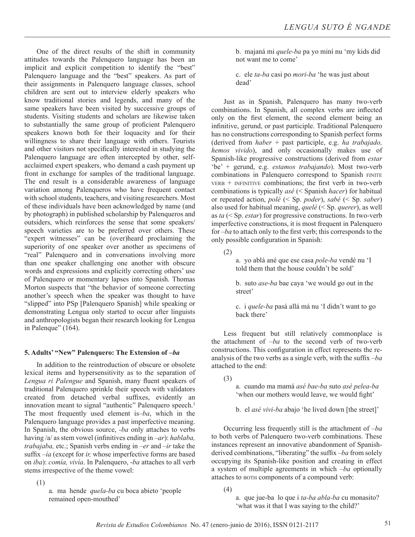One of the direct results of the shift in community attitudes towards the Palenquero language has been an implicit and explicit competition to identify the "best" Palenquero language and the "best" speakers. As part of their assignments in Palenquero language classes, school children are sent out to interview elderly speakers who know traditional stories and legends, and many of the same speakers have been visited by successive groups of students. Visiting students and scholars are likewise taken to substantially the same group of proficient Palenquero speakers known both for their loquacity and for their willingness to share their language with others. Tourists and other visitors not specifically interested in studying the Palenquero language are often intercepted by other, selfacclaimed expert speakers, who demand a cash payment up front in exchange for samples of the traditional language. The end result is a considerable awareness of language variation among Palenqueros who have frequent contact with school students, teachers, and visiting researchers. Most of these individuals have been acknowledged by name (and by photograph) in published scholarship by Palenqueros and outsiders, which reinforces the sense that some speakers/ speech varieties are to be preferred over others. These "expert witnesses" can be (over)heard proclaiming the superiority of one speaker over another as specimens of "real" Palenquero and in conversations involving more than one speaker challenging one another with obscure words and expressions and explicitly correcting others' use of Palenquero or momentary lapses into Spanish. Thomas Morton suspects that "the behavior of someone correcting another's speech when the speaker was thought to have "slipped" into PSp [Palenquero Spanish] while speaking or demonstrating Lengua only started to occur after linguists and anthropologists began their research looking for Lengua in Palenque" (164).

# **5. Adults' "New" Palenquero: The Extension of –***ba*

In addition to the reintroduction of obscure or obsolete lexical items and hypersensitivity as to the separation of *Lengua ri Palengue* and Spanish, many fluent speakers of traditional Palenquero sprinkle their speech with validators created from detached verbal suffixes, evidently an innovation meant to signal "authentic" Palenquero speech.<sup>3</sup> The most frequently used element is–*ba*, which in the Palenquero language provides a past imperfective meaning. In Spanish, the obvious source, *-ba* only attaches to verbs having /a/ as stem vowel (infinitives ending in *–ar*): *hablaba, trabajaba,* etc.; Spanish verbs ending in *–er* and *–ir* take the suffix –*ía* (except for *ir,* whose imperfective forms are based on *iba*): *comía, vivía*. In Palenquero, -*ba* attaches to all verb stems irrespective of the theme vowel:

(1)

a. ma hende *quela-ba* cu boca abieto 'people remained open-mouthed'

b. majaná mi *quele-ba* pa yo miní nu 'my kids did not want me to come'

c. ele *ta-ba* casi po *mori-ba* 'he was just about dead'

Just as in Spanish, Palenquero has many two-verb combinations. In Spanish, all complex verbs are inflected only on the first element, the second element being an infinitive, gerund, or past participle. Traditional Palenquero has no constructions corresponding to Spanish perfect forms (derived from *haber* + past participle, e.g. *ha trabajado, hemos vivido*), and only occasionally makes use of Spanish-like progressive constructions (derived from *estar*  'be' + gerund, e.g. *estamos trabajando*). Most two-verb combinations in Palenquero correspond to Spanish FINITE  $VERB + INFINITE$  combinations; the first verb in two-verb combinations is typically *asé* (< Spanish *hacer*) for habitual or repeated action, *polé* (< Sp. *poder*), *sabé* (< Sp. *saber*) also used for habitual meaning, *quelé* (< Sp. *querer*), as well as *ta* (< Sp. *estar*) for progressive constructions. In two-verb imperfective constructions, it is most frequent in Palenquero for –*ba* to attach only to the first verb; this corresponds to the only possible configuration in Spanish:

(2)

a. yo ablá ané que ese casa *pole-ba* vendé nu 'I told them that the house couldn't be sold'

b. suto *ase-ba* bae caya 'we would go out in the street'

c. i *quele-ba* pasá allá má nu 'I didn't want to go back there'

Less frequent but still relatively commonplace is the attachment of –*ba* to the second verb of two-verb constructions. This configuration in effect represents the reanalysis of the two verbs as a single verb, with the suffix –*ba*  attached to the end:

(3)

- a. cuando ma mamá *asé bae-ba* suto *asé pelea-ba*  'when our mothers would leave, we would fight'
- b. el *asé vivi-ba* abajo 'he lived down [the street]'

Occurring less frequently still is the attachment of –*ba*  to both verbs of Palenquero two-verb combinations. These instances represent an innovative abandonment of Spanishderived combinations, "liberating" the suffix –*ba* from solely occupying its Spanish-like position and creating in effect a system of multiple agreements in which –*ba* optionally attaches to both components of a compound verb:

(4)

a. que jue-ba lo que i *ta-ba abla-ba* cu monasito? 'what was it that I was saying to the child?'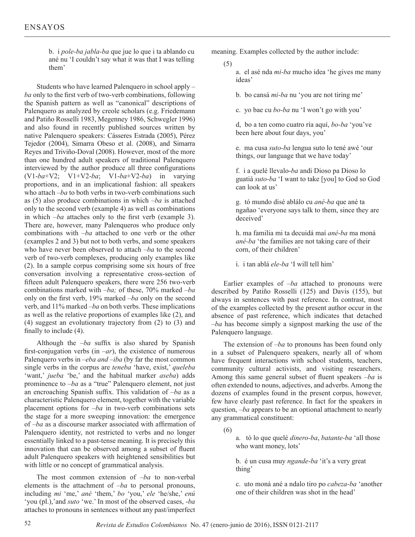b. i *pole-ba jabla-ba* que jue lo que i ta ablando cu ané nu 'I couldn't say what it was that I was telling them'

Students who have learned Palenquero in school apply – *ba* only to the first verb of two-verb combinations, following the Spanish pattern as well as "canonical" descriptions of Palenquero as analyzed by creole scholars (e.g. Friedemann and Patiño Rosselli 1983, Megenney 1986, Schwegler 1996) and also found in recently published sources written by native Palenquero speakers: Cásseres Estrada (2005), Pérez Tejedor (2004), Simarra Obeso et al. (2008), and Simarra Reyes and Triviño-Doval (2008). However, most of the more than one hundred adult speakers of traditional Palenquero interviewed by the author produce all three configurations (V1-*ba*+V2; V1+V2-*ba*; V1-*ba*+V2-*ba*) in varying proportions, and in an implicational fashion: all speakers who attach –*ba* to both verbs in two-verb combinations such as (5) also produce combinations in which –*ba* is attached only to the second verb (example 4) as well as combinations in which –*ba* attaches only to the first verb (example 3). There are, however, many Palenqueros who produce only combinations with –*ba* attached to one verb or the other (examples 2 and 3) but not to both verbs, and some speakers who have never been observed to attach –*ba* to the second verb of two-verb complexes, producing only examples like (2). In a sample corpus comprising some six hours of free conversation involving a representative cross-section of fifteen adult Palenquero speakers, there were 256 two-verb combinations marked with –*ba;* of these, 70% marked –*ba*  only on the first verb, 19% marked –*ba* only on the second verb, and 11% marked –*ba* on both verbs. These implications as well as the relative proportions of examples like (2), and (4) suggest an evolutionary trajectory from (2) to (3) and finally to include (4).

Although the –*ba* suffix is also shared by Spanish first-conjugation verbs (in  $-ar$ ), the existence of numerous Palenquero verbs in –*eba and* –*iba* (by far the most common single verbs in the corpus are *teneba* 'have, exist,' *queleba*  'want,' *jueba* 'be,' and the habitual marker *aseba*) adds prominence to –*ba* as a "true" Palenquero element, not just an encroaching Spanish suffix. This validation of *–ba* as a characteristic Palenquero element, together with the variable placement options for –*ba* in two-verb combinations sets the stage for a more sweeping innovation: the emergence of –*ba* as a discourse marker associated with affirmation of Palenquero identity, not restricted to verbs and no longer essentially linked to a past-tense meaning. It is precisely this innovation that can be observed among a subset of fluent adult Palenquero speakers with heightened sensibilities but with little or no concept of grammatical analysis.

The most common extension of –*ba* to non-verbal elements is the attachment of –*ba* to personal pronouns, including *mi* 'me,' *ané* 'them,' *bo* 'you,' *ele* 'he/she,' *enú*  'you (pl.),'and *suto* 'we.' In most of the observed cases, -*ba*  attaches to pronouns in sentences without any past/imperfect meaning. Examples collected by the author include:

(5)

a. el asé nda *mi-ba* mucho idea 'he gives me many ideas'

b. bo cansá *mi-ba* nu 'you are not tiring me'

c. yo bae cu *bo-ba* nu 'I won't go with you'

d, bo a ten como cuatro ría aquí, *bo-ba* 'you've been here about four days, you'

e. ma cusa *suto-ba* lengua suto lo tené awé 'our things, our language that we have today'

f. i a quelé llevalo-*ba* andi Dioso pa Dioso lo guatiá *suto-ba* 'I want to take [you] to God so God can look at us'

g. tó mundo disé ablálo cu *ané-ba* que ané ta ngañao 'everyone says talk to them, since they are deceived'

h. ma familia mi ta decuidá maí *ané-ba* ma moná *ané-ba* 'the families are not taking care of their corn, of their children'

i. i tan ablá *ele-ba* 'I will tell him'

Earlier examples of –*ba* attached to pronouns were described by Patiño Rosselli (125) and Davis (155), but always in sentences with past reference. In contrast, most of the examples collected by the present author occur in the absence of past reference, which indicates that detached –*ba* has become simply a signpost marking the use of the Palenquero language.

The extension of –*ba* to pronouns has been found only in a subset of Palenquero speakers, nearly all of whom have frequent interactions with school students, teachers, community cultural activists, and visiting researchers. Among this same general subset of fluent speakers –*ba* is often extended to nouns, adjectives, and adverbs. Among the dozens of examples found in the present corpus, however, few have clearly past reference. In fact for the speakers in question, –*ba* appears to be an optional attachment to nearly any grammatical constituent:

(6)

a. tó lo que quelé *dinero-ba*, *batante-ba* 'all those who want money, lots'

b. é un cusa muy *ngande-ba* 'it's a very great thing'

c. uto moná ané a ndalo tiro po *cabeza-ba* 'another one of their children was shot in the head'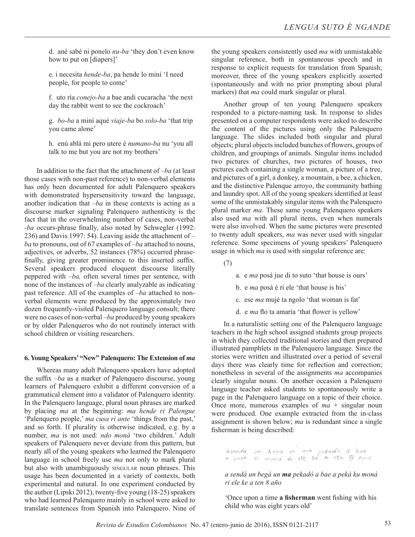d. ané sabé ni ponelo *nu-ba* 'they don't even know how to put on [diapers]'

e. i necesita *hende-ba*, pa hende lo miní 'I need people, for people to come'

f. uto ría *conejo-ba* a bae andi cucaracha 'the next day the rabbit went to see the cockroach'

g. *bo-ba* a miní aqué *viaje-ba* bo *solo-ba* 'that trip you came alone'

h. enú ablá mi pero utere é *numano-ba* nu 'you all talk to me but you are not my brothers'

In addition to the fact that the attachment of –*ba* (at least those cases with non-past reference) to non-verbal elements has only been documented for adult Palenquero speakers with demonstrated hypersensitivity toward the language, another indication that –*ba* in these contexts is acting as a discourse marker signaling Palenquero authenticity is the fact that in the overwhelming number of cases, non-verbal -*ba* occurs-phrase finally, also noted by Schwegler (1992: 236) and Davis 1997: 54). Leaving aside the attachment of – *ba* to pronouns, out of 67 examples of –*ba* attached to nouns, adjectives, or adverbs, 52 instances (78%) occurred phrasefinally, giving greater prominence to this inserted suffix. Several speakers produced eloquent discourse literally peppered with –*ba,* often several times per sentence, with none of the instances of –*ba* clearly analyzable as indicating past reference. All of the examples of –*ba* attached to nonverbal elements were produced by the approximately two dozen frequently-visited Palenquero language consult; there were no cases of non-verbal –*ba* produced by young speakers or by older Palenqueros who do not routinely interact with school children or visiting researchers.

## **6. Young Speakers' "New" Palenquero: The Extension of** *ma*

Whereas many adult Palenquero speakers have adopted the suffix –*ba* as a marker of Palenquero discourse, young learners of Palenquero exhibit a different conversion of a grammatical element into a validator of Palenquero identity. In the Palenquero language, plural noun phrases are marked by placing *ma* at the beginning: *ma hende ri Palengue*  'Palenquero people,' *ma cusa ri ante* 'things from the past,' and so forth. If plurality is otherwise indicated, e.g. by a number, *ma* is not used: *ndo moná* 'two children.' Adult speakers of Palenquero never deviate from this pattern, but nearly all of the young speakers who learned the Palenquero language in school freely use *ma* not only to mark plural but also with unambiguously singular noun phrases. This usage has been documented in a variety of contexts, both experimental and natural. In one experiment conducted by the author (Lipski 2012), twenty-five young (18-25) speakers who had learned Palenquero mainly in school were asked to translate sentences from Spanish into Palenquero. Nine of

the young speakers consistently used *ma* with unmistakable singular reference, both in spontaneous speech and in response to explicit requests for translation from Spanish; moreover, three of the young speakers explicitly asserted (spontaneously and with no prior prompting about plural markers) that *ma* could mark singular or plural.

Another group of ten young Palenquero speakers responded to a picture-naming task. In response to slides presented on a computer respondents were asked to describe the content of the pictures using only the Palenquero language. The slides included both singular and plural objects; plural objects included bunches of flowers, groups of children, and groupings of animals. Singular items included two pictures of churches, two pictures of houses, two pictures each containing a single woman, a picture of a tree, and pictures of a girl, a donkey, a mountain, a bee, a chicken, and the distinctive Palenque arroyo, the community bathing and laundry spot. All of the young speakers identified at least some of the unmistakably singular items with the Palenquero plural marker *ma*. These same young Palenquero speakers also used *ma* with all plural items, even when numerals were also involved. When the same pictures were presented to twenty adult speakers, *ma* was never used with singular reference. Some specimens of young speakers' Palenquero usage in which *ma* is used with singular reference are:

(7)

- a. e *ma* posá jue di to suto 'that house is ours'
- b. e *ma* posá é ri ele 'that house is his'
- c. ese *ma* mujé ta ngolo 'that woman is fat'
- d. e *ma* flo ta amaría 'that flower is yellow'

In a naturalistic setting one of the Palenquero language teachers in the high school assigned students group projects in which they collected traditional stories and then prepared illustrated pamphlets in the Palenquero language. Since the stories were written and illustrated over a period of several days there was clearly time for reflection and correction; nonetheless in several of the assignments *ma* accompanies clearly singular nouns. On another occasion a Palenquero language teacher asked students to spontaneously write a page in the Palenquero language on a topic of their choice. Once more, numerous examples of  $ma +$  singular noun were produced. One example extracted from the in-class assignment is shown below; *ma* is redundant since a single fisherman is being described:

r<br>Tasenda un bega un ma pelado d'bae<br>A pela ku mong à elle le A TEN B Anio

*a sendá un begá un ma pekadó a bae a peká ku moná ri ele ke a ten 8 año*

'Once upon a time **a fisherman** went fishing with his child who was eight years old'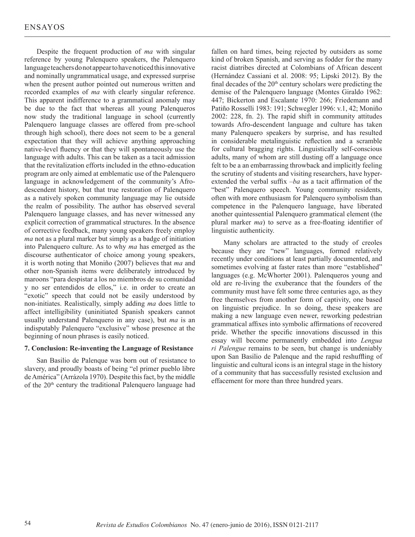Despite the frequent production of *ma* with singular reference by young Palenquero speakers, the Palenquero language teachers do not appear to have noticed this innovative and nominally ungrammatical usage, and expressed surprise when the present author pointed out numerous written and recorded examples of *ma* with clearly singular reference. This apparent indifference to a grammatical anomaly may be due to the fact that whereas all young Palenqueros now study the traditional language in school (currently Palenquero language classes are offered from pre-school through high school), there does not seem to be a general expectation that they will achieve anything approaching native-level fluency or that they will spontaneously use the language with adults. This can be taken as a tacit admission that the revitalization efforts included in the ethno-education program are only aimed at emblematic use of the Palenquero language in acknowledgement of the community's Afrodescendent history, but that true restoration of Palenquero as a natively spoken community language may lie outside the realm of possibility. The author has observed several Palenquero language classes, and has never witnessed any explicit correction of grammatical structures. In the absence of corrective feedback, many young speakers freely employ *ma* not as a plural marker but simply as a badge of initiation into Palenquero culture. As to why *ma* has emerged as the discourse authenticator of choice among young speakers, it is worth noting that Moniño (2007) believes that *ma* and other non-Spanish items were deliberately introduced by maroons "para despistar a los no miembros de su comunidad y no ser entendidos de ellos," i.e. in order to create an "exotic" speech that could not be easily understood by non-initiates. Realistically, simply adding *ma* does little to affect intelligibility (uninitiated Spanish speakers cannot usually understand Palenquero in any case), but *ma* is an indisputably Palenquero "exclusive" whose presence at the beginning of noun phrases is easily noticed.

## **7. Conclusion: Re-inventing the Language of Resistance**

San Basilio de Palenque was born out of resistance to slavery, and proudly boasts of being "el primer pueblo libre de América" (Arrázola 1970). Despite this fact, by the middle of the 20<sup>th</sup> century the traditional Palenquero language had fallen on hard times, being rejected by outsiders as some kind of broken Spanish, and serving as fodder for the many racist diatribes directed at Colombians of African descent (Hernández Cassiani et al. 2008: 95; Lipski 2012). By the final decades of the 20th century scholars were predicting the demise of the Palenquero language (Montes Giraldo 1962: 447; Bickerton and Escalante 1970: 266; Friedemann and Patiño Rosselli 1983: 191; Schwegler 1996: v.1, 42; Moniño 2002: 228, fn. 2). The rapid shift in community attitudes towards Afro-descendent language and culture has taken many Palenquero speakers by surprise, and has resulted in considerable metalinguistic reflection and a scramble for cultural bragging rights. Linguistically self-conscious adults, many of whom are still dusting off a language once felt to be a an embarrassing throwback and implicitly feeling the scrutiny of students and visiting researchers, have hyperextended the verbal suffix –*ba* as a tacit affirmation of the "best" Palenquero speech. Young community residents, often with more enthusiasm for Palenquero symbolism than competence in the Palenquero language, have liberated another quintessential Palenquero grammatical element (the plural marker *ma*) to serve as a free-floating identifier of linguistic authenticity.

Many scholars are attracted to the study of creoles because they are "new" languages, formed relatively recently under conditions at least partially documented, and sometimes evolving at faster rates than more "established" languages (e.g. McWhorter 2001). Palenqueros young and old are re-living the exuberance that the founders of the community must have felt some three centuries ago, as they free themselves from another form of captivity, one based on linguistic prejudice. In so doing, these speakers are making a new language even newer, reworking pedestrian grammatical affixes into symbolic affirmations of recovered pride. Whether the specific innovations discussed in this essay will become permanently embedded into *Lengua ri Palengue* remains to be seen, but change is undeniably upon San Basilio de Palenque and the rapid reshuffling of linguistic and cultural icons is an integral stage in the history of a community that has successfully resisted exclusion and effacement for more than three hundred years.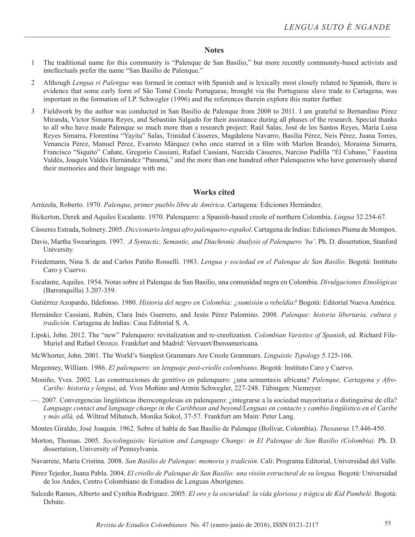## **Notes**

- 1 The traditional name for this community is "Palenque de San Basilio," but more recently community-based activists and intellectuals prefer the name "San Basilio de Palenque."
- 2 Although *Lengua ri Palengue* was formed in contact with Spanish and is lexically most closely related to Spanish, there is evidence that some early form of São Tomé Creole Portuguese, brought via the Portuguese slave trade to Cartagena, was important in the formation of LP. Schwegler (1996) and the references therein explore this matter further.
- 3 Fieldwork by the author was conducted in San Basilio de Palenque from 2008 to 2011. I am grateful to Bernardino Pérez Miranda, Víctor Simarra Reyes, and Sebastián Salgado for their assistance during all phases of the research. Special thanks to all who have made Palenque so much more than a research project: Raúl Salas, José de los Santos Reyes, María Luisa Reyes Simarra, Florentina "Yayita" Salas, Trinidad Cásseres, Magdalena Navarro, Basilia Pérez, Neis Pérez, Juana Torres, Venancia Pérez, Manuel Pérez, Evaristo Márquez (who once starred in a film with Marlon Brando), Moraima Simarra, Francisco "Siquito" Cañate, Gregorio Cassiani, Rafael Cassiani, Narcida Cásseres, Narciso Padilla "El Cubano," Faustina Valdés, Joaquín Valdés Hernández "Panamá," and the more than one hundred other Palenqueros who have generously shared their memories and their language with me.

# **Works cited**

Arrázola, Roberto. 1970. *Palenque, primer pueblo libre de América*. Cartagena: Ediciones Hernández.

Bickerton, Derek and Aquiles Escalante. 1970. Palenquero: a Spanish-based creole of northern Colombia. *Lingua* 32.254-67.

- Cásseres Estrada, Solmery. 2005. *Diccionario lengua afro palenquero-español*. Cartagena de Indias: Ediciones Pluma de Mompox.
- Davis, Martha Swearingen. 1997. *A Syntactic, Semantic, and Diachronic Analysis of Palenquero 'ba'*. Ph. D. dissertation, Stanford University.
- Friedemann, Nina S. de and Carlos Patiño Rosselli. 1983. *Lengua y sociedad en el Palenque de San Basilio*. Bogotá: Instituto Caro y Cuervo.
- Escalante, Aquiles. 1954. Notas sobre el Palenque de San Basilio, una comunidad negra en Colombia. *Divulgaciones Etnológicas* (Barranquilla) 3.207-359.
- Gutiérrez Azopardo, Ildefonso. 1980. *Historia del negro en Colombia: ¿sumisión o rebeldía?* Bogotá: Editorial Nueva América.
- Hernández Cassiani, Rubén, Clara Inés Guerrero, and Jesús Pérez Palomino. 2008. *Palenque: historia libertaria, cultura y tradición*. Cartagena de Indias: Casa Editorial S. A.
- Lipski, John. 2012. The "new" Palenquero: revitalization and re-creolization. *Colombian Varieties of Spanish*, ed. Richard File-Muriel and Rafael Orozco. Frankfurt and Madrid: Vervuert/Iberoamericana.
- McWhorter, John. 2001. The World's Simplest Grammars Are Creole Grammars. *Linguistic Typology* 5.125-166.
- Megenney, William. 1986. *El palenquero: un lenguaje post-criollo colombiano*. Bogotá: Instituto Caro y Cuervo.
- Moniño, Yves. 2002. Las construcciones de genitivo en palenquero: ¿una semantaxis africana? *Palenque, Cartagena y Afro-Caribe: historia y lengua*, ed. Yves Moñino and Armin Schwegler, 227-248. Tübingen: Niemeyer.
- —. 2007. Convergencias lingüísticas iberocongolesas en palenquero: ¿integrarse a la sociedad mayoritaria o distinguirse de ella? *Language contact and language change in the Caribbean and beyond/Lenguas en contacto y cambio lingüístico en el Caribe y más allá,* ed. Wiltrud Mihatsch, Monika Sokol, 37-57. Frankfurt am Main: Peter Lang.
- Montes Giraldo, José Joaquín. 1962. Sobre el habla de San Basilio de Palenque (Bolívar, Colombia). *Thesaurus* 17.446-450.
- Morton, Thomas. 2005. *Sociolinguistic Variation and Language Change: in El Palenque de San Basilio (Colombia).* Ph. D. dissertation, University of Pennsylvania.
- Navarrete, María Cristina. 2008. *San Basilio de Palenque: memoria y tradición*. Cali: Programa Editorial, Universidad del Valle.
- Pérez Tejedor, Juana Pabla. 2004. *El criollo de Palenque de San Basilio: una visión estructural de su lengua.* Bogotá: Universidad de los Andes, Centro Colombiano de Estudios de Lenguas Aborígenes.
- Salcedo Ramos, Alberto and Cynthia Rodríguez. 2005. *El oro y la oscuridad: la vida gloriosa y trágica de Kid Pambelé.* Bogotá: Debate.